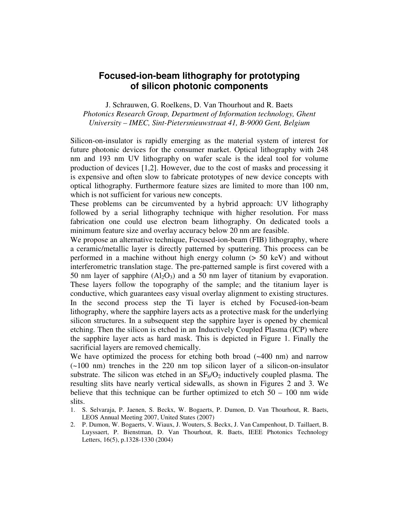## **Focused-ion-beam lithography for prototyping of silicon photonic components**

J. Schrauwen, G. Roelkens, D. Van Thourhout and R. Baets *Photonics Research Group, Department of Information technology, Ghent University – IMEC, Sint-Pietersnieuwstraat 41, B-9000 Gent, Belgium* 

Silicon-on-insulator is rapidly emerging as the material system of interest for future photonic devices for the consumer market. Optical lithography with 248 nm and 193 nm UV lithography on wafer scale is the ideal tool for volume production of devices [1,2]. However, due to the cost of masks and processing it is expensive and often slow to fabricate prototypes of new device concepts with optical lithography. Furthermore feature sizes are limited to more than 100 nm, which is not sufficient for various new concepts.

These problems can be circumvented by a hybrid approach: UV lithography followed by a serial lithography technique with higher resolution. For mass fabrication one could use electron beam lithography. On dedicated tools a minimum feature size and overlay accuracy below 20 nm are feasible.

We propose an alternative technique, Focused-ion-beam (FIB) lithography, where a ceramic/metallic layer is directly patterned by sputtering. This process can be performed in a machine without high energy column (> 50 keV) and without interferometric translation stage. The pre-patterned sample is first covered with a 50 nm layer of sapphire  $(Al_2O_3)$  and a 50 nm layer of titanium by evaporation. These layers follow the topography of the sample; and the titanium layer is conductive, which guarantees easy visual overlay alignment to existing structures. In the second process step the Ti layer is etched by Focused-ion-beam lithography, where the sapphire layers acts as a protective mask for the underlying silicon structures. In a subsequent step the sapphire layer is opened by chemical etching. Then the silicon is etched in an Inductively Coupled Plasma (ICP) where the sapphire layer acts as hard mask. This is depicted in Figure 1. Finally the sacrificial layers are removed chemically.

We have optimized the process for etching both broad  $(-400 \text{ nm})$  and narrow (~100 nm) trenches in the 220 nm top silicon layer of a silicon-on-insulator substrate. The silicon was etched in an  $SF_6/O_2$  inductively coupled plasma. The resulting slits have nearly vertical sidewalls, as shown in Figures 2 and 3. We believe that this technique can be further optimized to etch  $50 - 100$  nm wide slits.

- 1. S. Selvaraja, P. Jaenen, S. Beckx, W. Bogaerts, P. Dumon, D. Van Thourhout, R. Baets, LEOS Annual Meeting 2007, United States (2007)
- 2. P. Dumon, W. Bogaerts, V. Wiaux, J. Wouters, S. Beckx, J. Van Campenhout, D. Taillaert, B. Luyssaert, P. Bienstman, D. Van Thourhout, R. Baets, IEEE Photonics Technology Letters, 16(5), p.1328-1330 (2004)